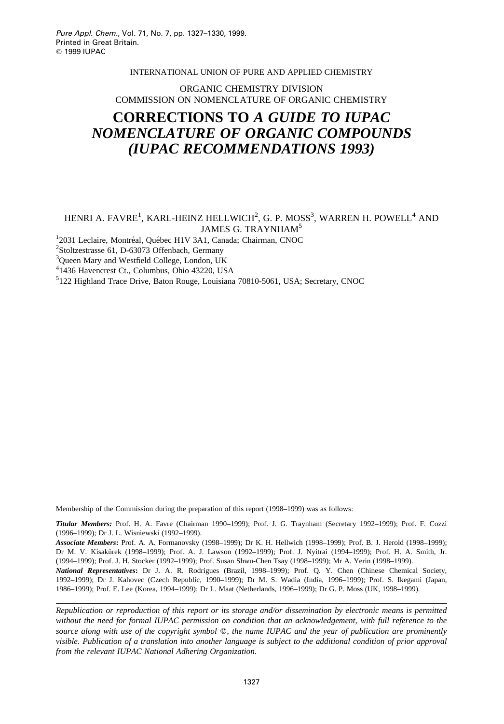#### INTERNATIONAL UNION OF PURE AND APPLIED CHEMISTRY

### ORGANIC CHEMISTRY DIVISION COMMISSION ON NOMENCLATURE OF ORGANIC CHEMISTRY

## **CORRECTIONS TO** *A GUIDE TO IUPAC NOMENCLATURE OF ORGANIC COMPOUNDS (IUPAC RECOMMENDATIONS 1993)*

### HENRI A. FAVRE $^1$ , KARL-HEINZ HELLWICH $^2$ , G. P. MOSS $^3$ , WARREN H. POWELL $^4$  AND JAMES G. TRAYNHAM5

<sup>1</sup>2031 Leclaire, Montréal, Québec H1V 3A1, Canada; Chairman, CNOC<br><sup>2</sup>Steltzestresse 61, D. 63073 Offenbech, Germany

<sup>2</sup>Stoltzestrasse 61, D-63073 Offenbach, Germany

<sup>3</sup>Queen Mary and Westfield College, London, UK

4 1436 Havencrest Ct., Columbus, Ohio 43220, USA

5 122 Highland Trace Drive, Baton Rouge, Louisiana 70810-5061, USA; Secretary, CNOC

Membership of the Commission during the preparation of this report (1998–1999) was as follows:

*Titular Members:* Prof. H. A. Favre (Chairman 1990–1999); Prof. J. G. Traynham (Secretary 1992–1999); Prof. F. Cozzi (1996–1999); Dr J. L. Wisniewski (1992–1999).

*Associate Members***:** Prof. A. A. Formanovsky (1998–1999); Dr K. H. Hellwich (1998–1999); Prof. B. J. Herold (1998–1999); Dr M. V. Kisakürek (1998–1999); Prof. A. J. Lawson (1992–1999); Prof. J. Nyitrai (1994–1999); Prof. H. A. Smith, Jr. (1994–1999); Prof. J. H. Stocker (1992–1999); Prof. Susan Shwu-Chen Tsay (1998–1999); Mr A. Yerin (1998–1999).

*National Representatives***:** Dr J. A. R. Rodrigues (Brazil, 1998–1999); Prof. Q. Y. Chen (Chinese Chemical Society, 1992–1999); Dr J. Kahovec (Czech Republic, 1990–1999); Dr M. S. Wadia (India, 1996–1999); Prof. S. Ikegami (Japan, 1986–1999); Prof. E. Lee (Korea, 1994–1999); Dr L. Maat (Netherlands, 1996–1999); Dr G. P. Moss (UK, 1998–1999).

*Republication or reproduction of this report or its storage and/or dissemination by electronic means is permitted without the need for formal IUPAC permission on condition that an acknowledgement, with full reference to the* source along with use of the copyright symbol  $\mathbb{O}$ , the name IUPAC and the year of publication are prominently *visible. Publication of a translation into another language is subject to the additional condition of prior approval from the relevant IUPAC National Adhering Organization.*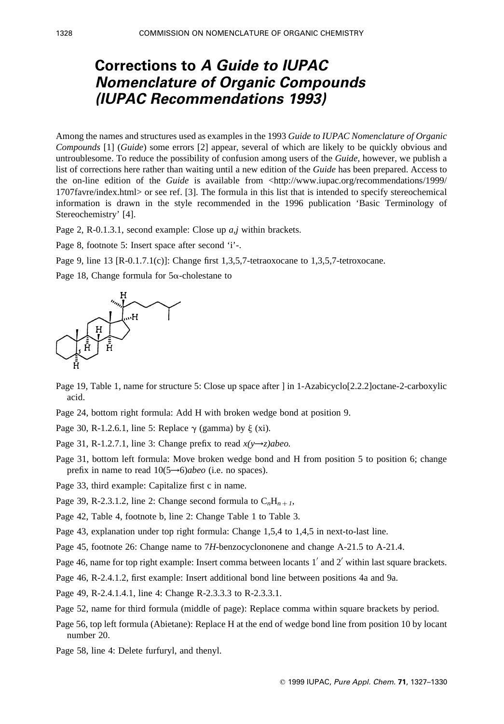# **Corrections to A Guide to IUPAC Nomenclature of Organic Compounds (IUPAC Recommendations 1993)**

Among the names and structures used as examples in the 1993 *Guide to IUPAC Nomenclature of Organic Compounds* [1] (*Guide*) some errors [2] appear, several of which are likely to be quickly obvious and untroublesome. To reduce the possibility of confusion among users of the *Guide,* however, we publish a list of corrections here rather than waiting until a new edition of the *Guide* has been prepared. Access to the on-line edition of the *Guide* is available from <http://www.iupac.org/recommendations/1999/ 1707favre/index.html> or see ref. [3]. The formula in this list that is intended to specify stereochemical information is drawn in the style recommended in the 1996 publication 'Basic Terminology of Stereochemistry' [4].

Page 2, R-0.1.3.1, second example: Close up *a,j* within brackets.

Page 8, footnote 5: Insert space after second 'i'-.

Page 9, line 13 [R-0.1.7.1(c)]: Change first 1,3,5,7-tetraoxocane to 1,3,5,7-tetroxocane.

Page 18, Change formula for  $5\alpha$ -cholestane to



- Page 19, Table 1, name for structure 5: Close up space after ] in 1-Azabicyclo[2.2.2]octane-2-carboxylic acid.
- Page 24, bottom right formula: Add H with broken wedge bond at position 9.

Page 30, R-1.2.6.1, line 5: Replace  $\gamma$  (gamma) by  $\xi$  (xi).

Page 31, R-1.2.7.1, line 3: Change prefix to read  $x(y\rightarrow z)$ abeo.

- Page 31, bottom left formula: Move broken wedge bond and H from position 5 to position 6; change prefix in name to read 10(5→6)*abeo* (i.e. no spaces).
- Page 33, third example: Capitalize first c in name.
- Page 39, R-2.3.1.2, line 2: Change second formula to  $C_nH_{n+1}$ ,

Page 42, Table 4, footnote b, line 2: Change Table 1 to Table 3.

Page 43, explanation under top right formula: Change 1,5,4 to 1,4,5 in next-to-last line.

Page 45, footnote 26: Change name to 7*H*-benzocyclononene and change A-21.5 to A-21.4.

Page 46, name for top right example: Insert comma between locants  $1'$  and  $2'$  within last square brackets.

Page 46, R-2.4.1.2, first example: Insert additional bond line between positions 4a and 9a.

Page 49, R-2.4.1.4.1, line 4: Change R-2.3.3.3 to R-2.3.3.1.

Page 52, name for third formula (middle of page): Replace comma within square brackets by period.

Page 56, top left formula (Abietane): Replace H at the end of wedge bond line from position 10 by locant number 20.

Page 58, line 4: Delete furfuryl, and thenyl.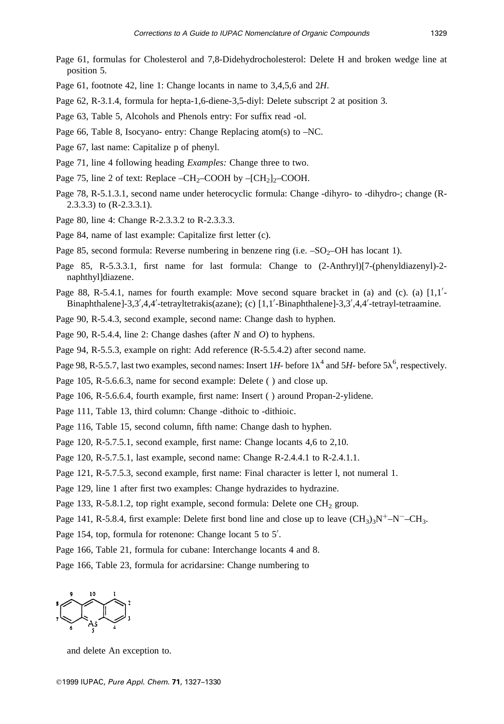- Page 61, formulas for Cholesterol and 7,8-Didehydrocholesterol: Delete H and broken wedge line at position 5.
- Page 61, footnote 42, line 1: Change locants in name to 3,4,5,6 and 2*H*.
- Page 62, R-3.1.4, formula for hepta-1,6-diene-3,5-diyl: Delete subscript 2 at position 3.
- Page 63, Table 5, Alcohols and Phenols entry: For suffix read -ol.
- Page 66, Table 8, Isocyano- entry: Change Replacing atom(s) to –NC.
- Page 67, last name: Capitalize p of phenyl.
- Page 71, line 4 following heading *Examples:* Change three to two.
- Page 75, line 2 of text: Replace  $-CH_2$ –COOH by  $-[CH_2]_2$ –COOH.
- Page 78, R-5.1.3.1, second name under heterocyclic formula: Change -dihyro- to -dihydro-; change (R-2.3.3.3) to (R-2.3.3.1).
- Page 80, line 4: Change R-2.3.3.2 to R-2.3.3.3.
- Page 84, name of last example: Capitalize first letter (c).
- Page 85, second formula: Reverse numbering in benzene ring (i.e.  $-SO_2-OH$  has locant 1).
- Page 85, R-5.3.3.1, first name for last formula: Change to (2-Anthryl)[7-(phenyldiazenyl)-2 naphthyl]diazene.
- Page 88, R-5.4.1, names for fourth example: Move second square bracket in (a) and (c). (a)  $[1,1]$ -Binaphthalene]-3,3',4,4'-tetrayltetrakis(azane); (c) [1,1'-Binaphthalene]-3,3',4,4'-tetrayl-tetraamine.

Page 90, R-5.4.3, second example, second name: Change dash to hyphen.

Page 90, R-5.4.4, line 2: Change dashes (after *N* and *O*) to hyphens.

Page 94, R-5.5.3, example on right: Add reference (R-5.5.4.2) after second name.

Page 98, R-5.5.7, last two examples, second names: Insert 1H- before  $1\lambda^4$  and 5H- before 5 $\lambda^6$ , respectively.

Page 105, R-5.6.6.3, name for second example: Delete ( ) and close up.

Page 106, R-5.6.6.4, fourth example, first name: Insert ( ) around Propan-2-ylidene.

- Page 111, Table 13, third column: Change -dithoic to -dithioic.
- Page 116, Table 15, second column, fifth name: Change dash to hyphen.
- Page 120, R-5.7.5.1, second example, first name: Change locants 4,6 to 2,10.

Page 120, R-5.7.5.1, last example, second name: Change R-2.4.4.1 to R-2.4.1.1.

Page 121, R-5.7.5.3, second example, first name: Final character is letter l, not numeral 1.

Page 129, line 1 after first two examples: Change hydrazides to hydrazine.

Page 133, R-5.8.1.2, top right example, second formula: Delete one  $CH<sub>2</sub>$  group.

Page 141, R-5.8.4, first example: Delete first bond line and close up to leave  $(CH_3)_3N^+$ –N<sup>-</sup>–CH<sub>3</sub>.

Page 154, top, formula for rotenone: Change locant 5 to 5'.

Page 166, Table 21, formula for cubane: Interchange locants 4 and 8.

Page 166, Table 23, formula for acridarsine: Change numbering to



and delete An exception to.